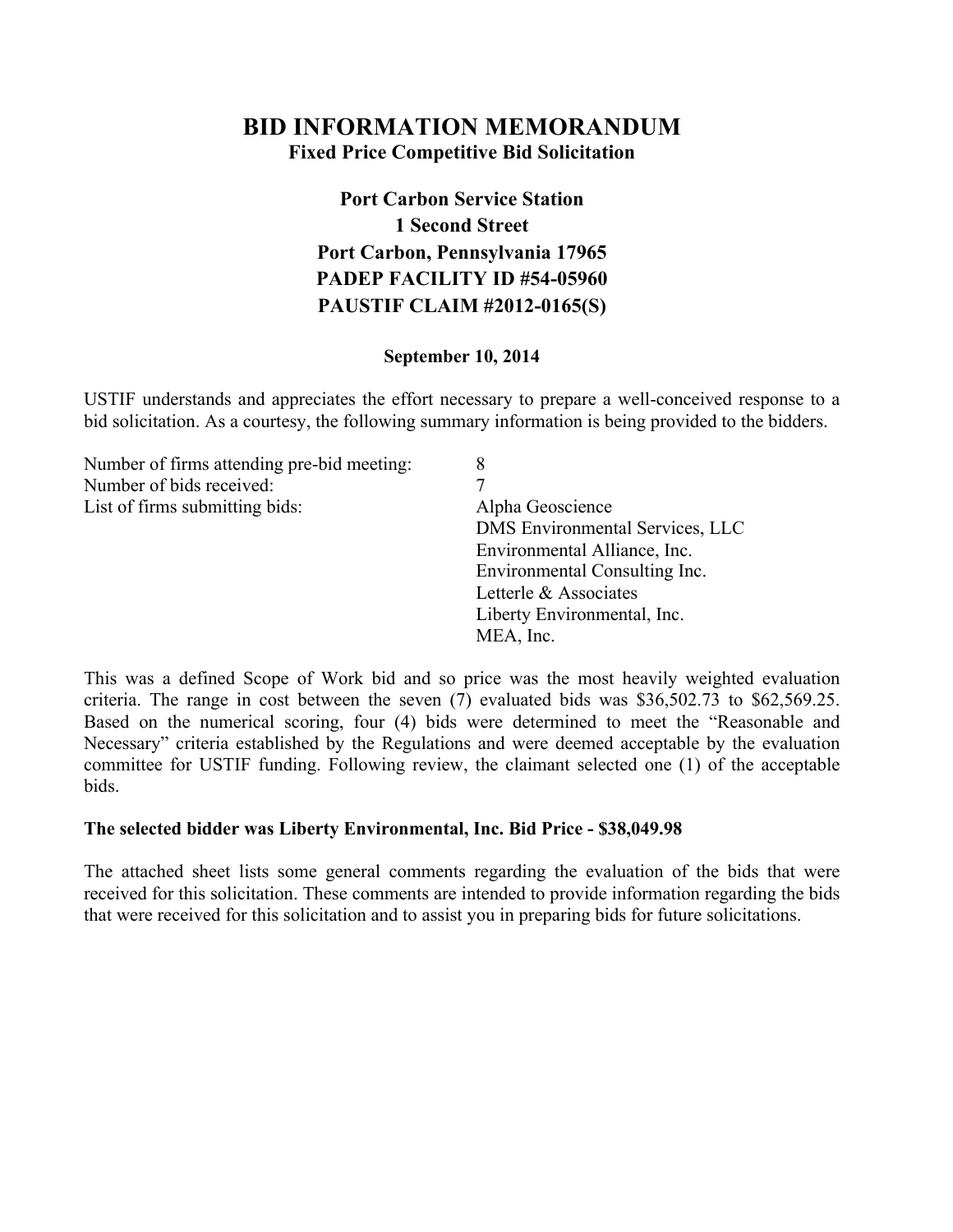### **BID INFORMATION MEMORANDUM Fixed Price Competitive Bid Solicitation**

# **Port Carbon Service Station 1 Second Street Port Carbon, Pennsylvania 17965 PADEP FACILITY ID #54-05960 PAUSTIF CLAIM #2012-0165(S)**

#### **September 10, 2014**

USTIF understands and appreciates the effort necessary to prepare a well-conceived response to a bid solicitation. As a courtesy, the following summary information is being provided to the bidders.

| 8                               |
|---------------------------------|
|                                 |
| Alpha Geoscience                |
| DMS Environmental Services, LLC |
| Environmental Alliance, Inc.    |
| Environmental Consulting Inc.   |
| Letterle & Associates           |
| Liberty Environmental, Inc.     |
| MEA, Inc.                       |
|                                 |

This was a defined Scope of Work bid and so price was the most heavily weighted evaluation criteria. The range in cost between the seven (7) evaluated bids was \$36,502.73 to \$62,569.25. Based on the numerical scoring, four (4) bids were determined to meet the "Reasonable and Necessary" criteria established by the Regulations and were deemed acceptable by the evaluation committee for USTIF funding. Following review, the claimant selected one (1) of the acceptable bids.

#### **The selected bidder was Liberty Environmental, Inc. Bid Price - \$38,049.98**

The attached sheet lists some general comments regarding the evaluation of the bids that were received for this solicitation. These comments are intended to provide information regarding the bids that were received for this solicitation and to assist you in preparing bids for future solicitations.